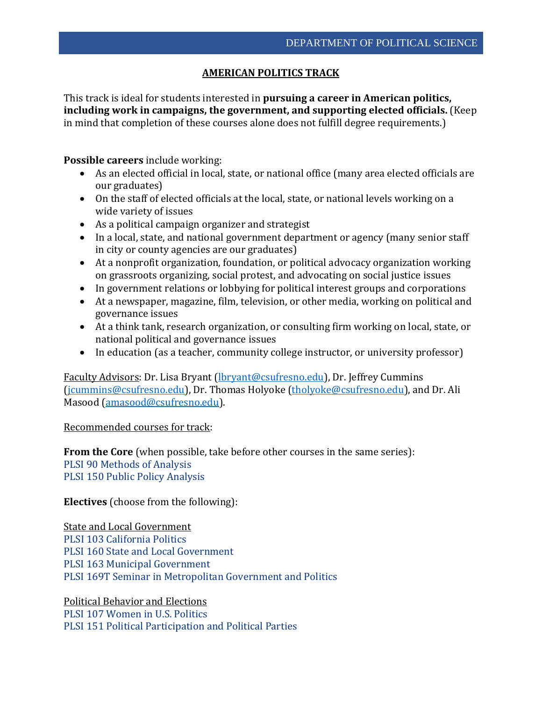## **AMERICAN POLITICS TRACK**

This track is ideal for students interested in **pursuing a career in American politics, including work in campaigns, the government, and supporting elected officials.** (Keep in mind that completion of these courses alone does not fulfill degree requirements.)

## **Possible careers** include working:

- As an elected official in local, state, or national office (many area elected officials are our graduates)
- On the staff of elected officials at the local, state, or national levels working on a wide variety of issues
- As a political campaign organizer and strategist
- In a local, state, and national government department or agency (many senior staff in city or county agencies are our graduates)
- At a nonprofit organization, foundation, or political advocacy organization working on grassroots organizing, social protest, and advocating on social justice issues
- In government relations or lobbying for political interest groups and corporations
- At a newspaper, magazine, film, television, or other media, working on political and governance issues
- At a think tank, research organization, or consulting firm working on local, state, or national political and governance issues
- In education (as a teacher, community college instructor, or university professor)

Faculty Advisors: Dr. Lisa Bryant [\(lbryant@csufresno.edu\)](mailto:lbryant@csufresno.edu), Dr. Jeffrey Cummins [\(jcummins@csufresno.edu\)](mailto:jcummins@csufresno.edu), Dr. Thomas Holyoke [\(tholyoke@csufresno.edu\)](mailto:tholyoke@csufresno.edu), and Dr. Ali Masood [\(amasood@csufresno.edu\)](mailto:amasood@csufresno.edu).

## Recommended courses for track:

**From the Core** (when possible, take before other courses in the same series): PLSI 90 Methods of Analysis PLSI 150 Public Policy Analysis

**Electives** (choose from the following):

State and Local Government PLSI 103 California Politics PLSI 160 State and Local Government PLSI 163 Municipal Government PLSI 169T Seminar in Metropolitan Government and Politics

Political Behavior and Elections PLSI 107 Women in U.S. Politics PLSI 151 Political Participation and Political Parties